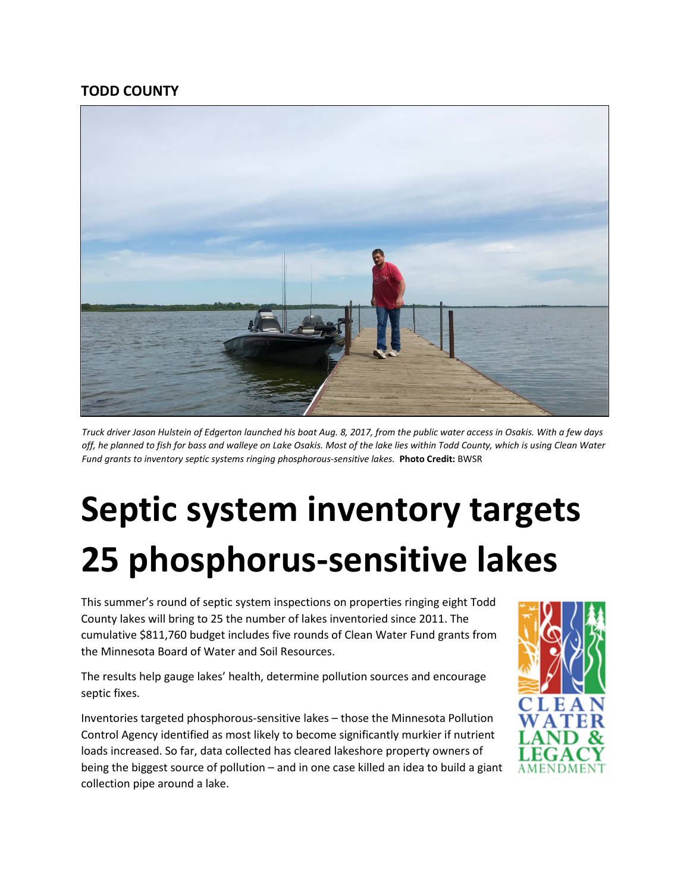## **TODD COUNTY**



*Truck driver Jason Hulstein of Edgerton launched his boat Aug. 8, 2017, from the public water access in Osakis. With a few days off, he planned to fish for bass and walleye on Lake Osakis. Most of the lake lies within Todd County, which is using Clean Water Fund grants to inventory septic systems ringing phosphorous-sensitive lakes.* **Photo Credit:** BWSR

## **Septic system inventory targets 25 phosphorus-sensitive lakes**

This summer's round of septic system inspections on properties ringing eight Todd County lakes will bring to 25 the number of lakes inventoried since 2011. The cumulative \$811,760 budget includes five rounds of Clean Water Fund grants from the Minnesota Board of Water and Soil Resources.

The results help gauge lakes' health, determine pollution sources and encourage septic fixes.

Inventories targeted phosphorous-sensitive lakes – those the Minnesota Pollution Control Agency identified as most likely to become significantly murkier if nutrient loads increased. So far, data collected has cleared lakeshore property owners of being the biggest source of pollution – and in one case killed an idea to build a giant collection pipe around a lake.

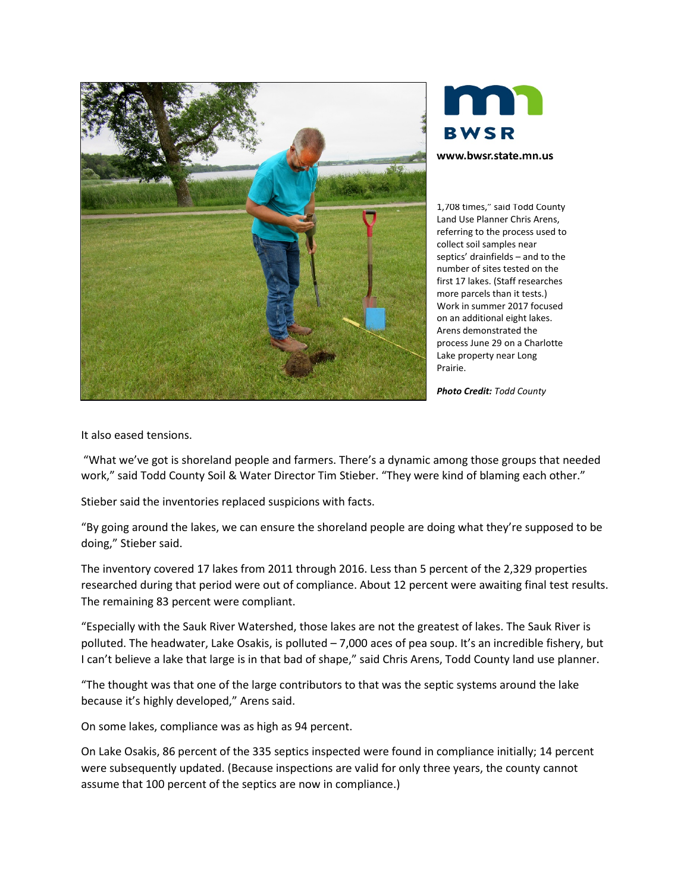



1,708 times," said Todd County Land Use Planner Chris Arens, referring to the process used to collect soil samples near septics' drainfields – and to the number of sites tested on the first 17 lakes. (Staff researches more parcels than it tests.) Work in summer 2017 focused on an additional eight lakes. Arens demonstrated the process June 29 on a Charlotte Lake property near Long Prairie.

*Photo Credit: Todd County*

It also eased tensions.

"What we've got is shoreland people and farmers. There's a dynamic among those groups that needed work," said Todd County Soil & Water Director Tim Stieber. "They were kind of blaming each other."

Stieber said the inventories replaced suspicions with facts.

"By going around the lakes, we can ensure the shoreland people are doing what they're supposed to be doing," Stieber said.

The inventory covered 17 lakes from 2011 through 2016. Less than 5 percent of the 2,329 properties researched during that period were out of compliance. About 12 percent were awaiting final test results. The remaining 83 percent were compliant.

"Especially with the Sauk River Watershed, those lakes are not the greatest of lakes. The Sauk River is polluted. The headwater, Lake Osakis, is polluted – 7,000 aces of pea soup. It's an incredible fishery, but I can't believe a lake that large is in that bad of shape," said Chris Arens, Todd County land use planner.

"The thought was that one of the large contributors to that was the septic systems around the lake because it's highly developed," Arens said.

On some lakes, compliance was as high as 94 percent.

On Lake Osakis, 86 percent of the 335 septics inspected were found in compliance initially; 14 percent were subsequently updated. (Because inspections are valid for only three years, the county cannot assume that 100 percent of the septics are now in compliance.)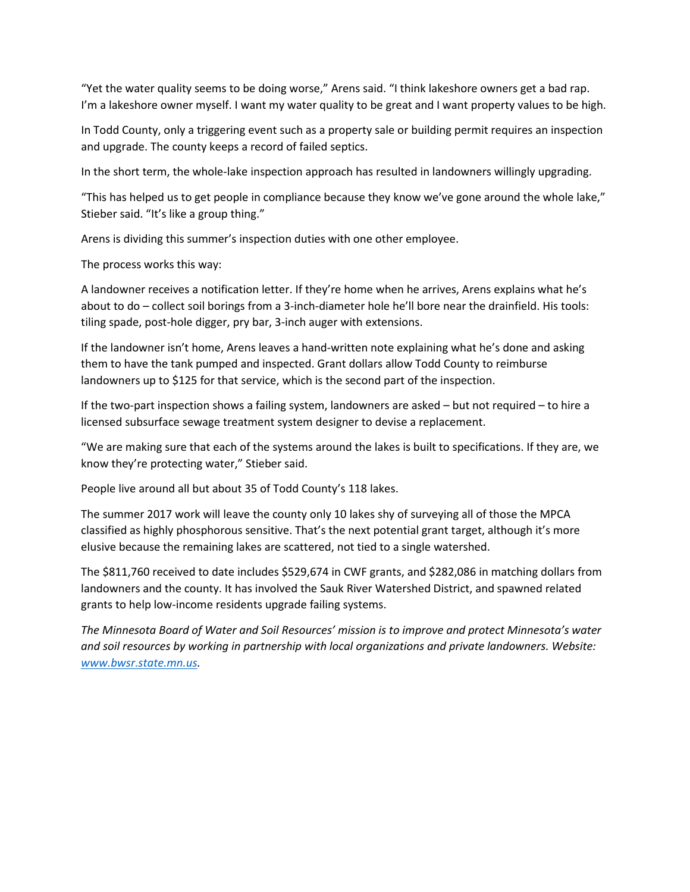"Yet the water quality seems to be doing worse," Arens said. "I think lakeshore owners get a bad rap. I'm a lakeshore owner myself. I want my water quality to be great and I want property values to be high.

In Todd County, only a triggering event such as a property sale or building permit requires an inspection and upgrade. The county keeps a record of failed septics.

In the short term, the whole-lake inspection approach has resulted in landowners willingly upgrading.

"This has helped us to get people in compliance because they know we've gone around the whole lake," Stieber said. "It's like a group thing."

Arens is dividing this summer's inspection duties with one other employee.

The process works this way:

A landowner receives a notification letter. If they're home when he arrives, Arens explains what he's about to do – collect soil borings from a 3-inch-diameter hole he'll bore near the drainfield. His tools: tiling spade, post-hole digger, pry bar, 3-inch auger with extensions.

If the landowner isn't home, Arens leaves a hand-written note explaining what he's done and asking them to have the tank pumped and inspected. Grant dollars allow Todd County to reimburse landowners up to \$125 for that service, which is the second part of the inspection.

If the two-part inspection shows a failing system, landowners are asked – but not required – to hire a licensed subsurface sewage treatment system designer to devise a replacement.

"We are making sure that each of the systems around the lakes is built to specifications. If they are, we know they're protecting water," Stieber said.

People live around all but about 35 of Todd County's 118 lakes.

The summer 2017 work will leave the county only 10 lakes shy of surveying all of those the MPCA classified as highly phosphorous sensitive. That's the next potential grant target, although it's more elusive because the remaining lakes are scattered, not tied to a single watershed.

The \$811,760 received to date includes \$529,674 in CWF grants, and \$282,086 in matching dollars from landowners and the county. It has involved the Sauk River Watershed District, and spawned related grants to help low-income residents upgrade failing systems.

*The Minnesota Board of Water and Soil Resources' mission is to improve and protect Minnesota's water and soil resources by working in partnership with local organizations and private landowners. Website: [www.bwsr.state.mn.us.](http://www.bwsr.state.mn.us/)*